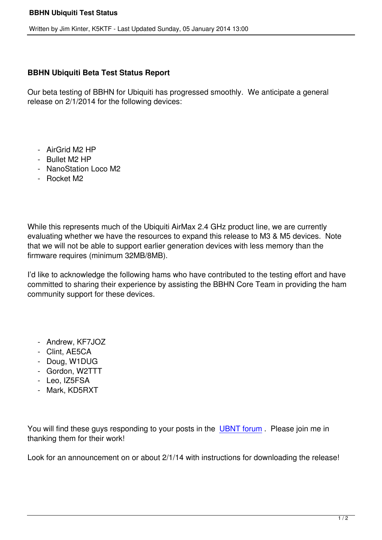## **BBHN Ubiquiti Beta Test Status Report**

Our beta testing of BBHN for Ubiquiti has progressed smoothly. We anticipate a general release on 2/1/2014 for the following devices:

- AirGrid M2 HP
- Bullet M2 HP
- NanoStation Loco M2
- Rocket M2

While this represents much of the Ubiquiti AirMax 2.4 GHz product line, we are currently evaluating whether we have the resources to expand this release to M3 & M5 devices. Note that we will not be able to support earlier generation devices with less memory than the firmware requires (minimum 32MB/8MB).

I'd like to acknowledge the following hams who have contributed to the testing effort and have committed to sharing their experience by assisting the BBHN Core Team in providing the ham community support for these devices.

- Andrew, KF7JOZ
- Clint, AE5CA
- Doug, W1DUG
- Gordon, W2TTT
- Leo, IZ5FSA
- Mark, KD5RXT

You will find these guys responding to your posts in the UBNT forum. Please join me in thanking them for their work!

Look for an announcement on or about 2/1/14 with instr[uctions for do](hsmm-mesh-forums/view-topiclist/forum-37-ubnt-firmware.html)wnloading the release!